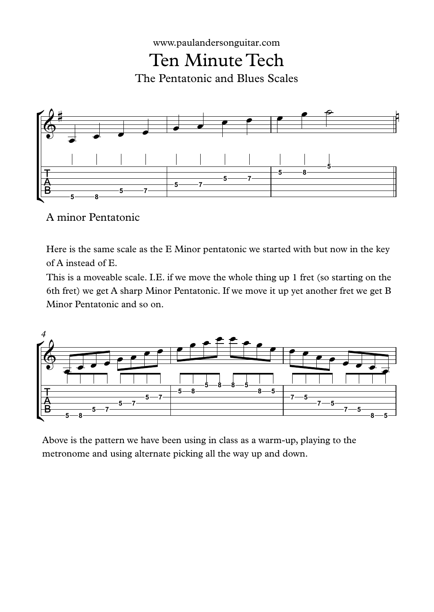



A minor Pentatonic

Here is the same scale as the E Minor pentatonic we started with but now in the key of A instead of E.

This is a moveable scale. I.E. if we move the whole thing up 1 fret (so starting on the 6th fret) we get A sharp Minor Pentatonic. If we move it up yet another fret we get B Minor Pentatonic and so on.



Above is the pattern we have been using in class as a warm-up, playing to the metronome and using alternate picking all the way up and down.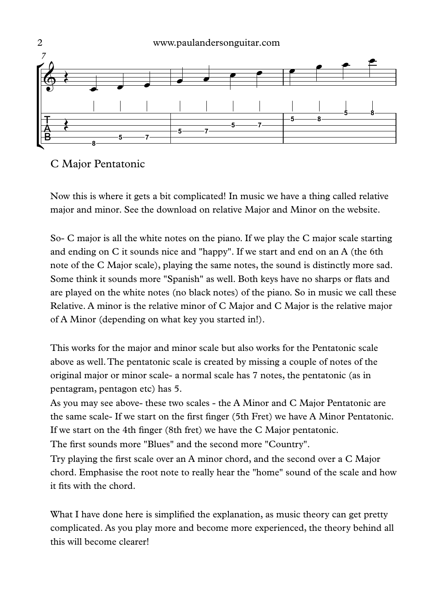

C Major Pentatonic

Now this is where it gets a bit complicated! In music we have a thing called relative major and minor. See the download on relative Major and Minor on the website.

So- C major is all the white notes on the piano. If we play the C major scale starting and ending on C it sounds nice and "happy". If we start and end on an A (the 6th note of the C Major scale), playing the same notes, the sound is distinctly more sad. Some think it sounds more "Spanish" as well. Both keys have no sharps or flats and are played on the white notes (no black notes) of the piano. So in music we call these Relative. A minor is the relative minor of C Major and C Major is the relative major of A Minor (depending on what key you started in!).

This works for the major and minor scale but also works for the Pentatonic scale above as well.The pentatonic scale is created by missing a couple of notes of the original major or minor scale- a normal scale has 7 notes, the pentatonic (as in pentagram, pentagon etc) has 5.

As you may see above- these two scales - the A Minor and C Major Pentatonic are the same scale- If we start on the first finger (5th Fret) we have A Minor Pentatonic. If we start on the 4th finger (8th fret) we have the C Major pentatonic. The first sounds more "Blues" and the second more "Country".

Try playing the first scale over an A minor chord, and the second over a C Major chord. Emphasise the root note to really hear the "home" sound of the scale and how it fits with the chord.

What I have done here is simplified the explanation, as music theory can get pretty complicated. As you play more and become more experienced, the theory behind all this will become clearer!